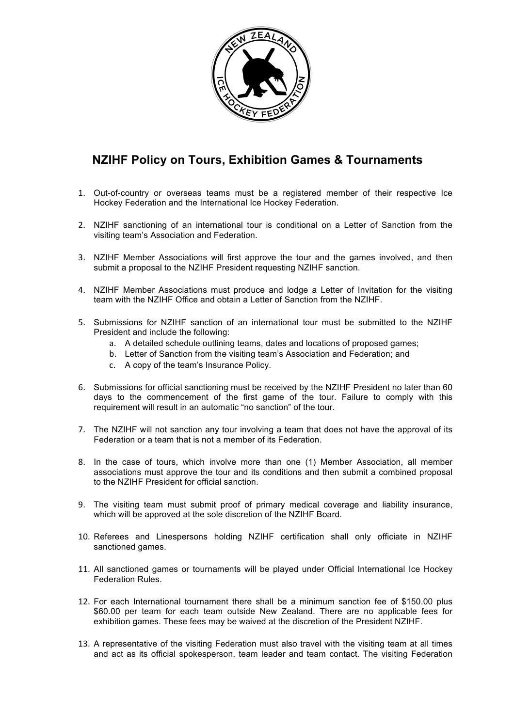

## **NZIHF Policy on Tours, Exhibition Games & Tournaments**

- 1. Out-of-country or overseas teams must be a registered member of their respective Ice Hockey Federation and the International Ice Hockey Federation.
- 2. NZIHF sanctioning of an international tour is conditional on a Letter of Sanction from the visiting team's Association and Federation.
- 3. NZIHF Member Associations will first approve the tour and the games involved, and then submit a proposal to the NZIHF President requesting NZIHF sanction.
- 4. NZIHF Member Associations must produce and lodge a Letter of Invitation for the visiting team with the NZIHF Office and obtain a Letter of Sanction from the NZIHF.
- 5. Submissions for NZIHF sanction of an international tour must be submitted to the NZIHF President and include the following:
	- a. A detailed schedule outlining teams, dates and locations of proposed games;
	- b. Letter of Sanction from the visiting team's Association and Federation; and
	- c. A copy of the team's Insurance Policy.
- 6. Submissions for official sanctioning must be received by the NZIHF President no later than 60 days to the commencement of the first game of the tour. Failure to comply with this requirement will result in an automatic "no sanction" of the tour.
- 7. The NZIHF will not sanction any tour involving a team that does not have the approval of its Federation or a team that is not a member of its Federation.
- 8. In the case of tours, which involve more than one (1) Member Association, all member associations must approve the tour and its conditions and then submit a combined proposal to the NZIHF President for official sanction.
- 9. The visiting team must submit proof of primary medical coverage and liability insurance, which will be approved at the sole discretion of the NZIHF Board.
- 10. Referees and Linespersons holding NZIHF certification shall only officiate in NZIHF sanctioned games.
- 11. All sanctioned games or tournaments will be played under Official International Ice Hockey Federation Rules.
- 12. For each International tournament there shall be a minimum sanction fee of \$150.00 plus \$60.00 per team for each team outside New Zealand. There are no applicable fees for exhibition games. These fees may be waived at the discretion of the President NZIHF.
- 13. A representative of the visiting Federation must also travel with the visiting team at all times and act as its official spokesperson, team leader and team contact. The visiting Federation